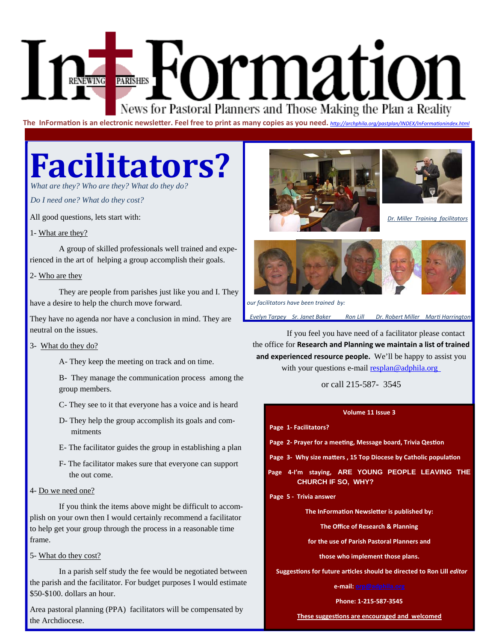# Formatio RENEWING News for Pastoral Planners and Those Making the Plan a Reality

**The InFormaƟon is an electronic newsleƩer. Feel free to print as many copies as you need.** *hƩ[p://archphila.org/pastplan/INDEX/InForma](http://archphila.org/pastplan/INDEX/InFormationindex.html)Ɵonindex.html*

# **Facilitators?**

*What are they? Who are they? What do they do?* 

*Do I need one? What do they cost?* 

All good questions, lets start with:

#### 1- What are they?

 A group of skilled professionals well trained and experienced in the art of helping a group accomplish their goals.

#### 2- Who are they

 They are people from parishes just like you and I. They have a desire to help the church move forward.

They have no agenda nor have a conclusion in mind. They are neutral on the issues.

#### 3- What do they do?

A- They keep the meeting on track and on time.

 B- They manage the communication process among the group members.

C- They see to it that everyone has a voice and is heard

- D- They help the group accomplish its goals and com mitments
- E- The facilitator guides the group in establishing a plan
- F- The facilitator makes sure that everyone can support the out come.

#### 4- Do we need one?

 If you think the items above might be difficult to accomplish on your own then I would certainly recommend a facilitator to help get your group through the process in a reasonable time frame.

#### 5- What do they cost?

 In a parish self study the fee would be negotiated between the parish and the facilitator. For budget purposes I would estimate \$50-\$100. dollars an hour.

Area pastoral planning (PPA) facilitators will be compensated by the Archdiocese.





*Dr. Miller Training facilitators* 



 *our facilitators have been trained by:* 

 *Evelyn Tarpey Sr. Janet Baker Ron Lill Dr. Robert Miller MarƟ Harrington* 

 If you feel you have need of a facilitator please contact the office for **Research and Planning we maintain a list of trained and experienced resource people.** We'll be happy to assist you with your questions e-mail resplan@adphila.org

#### or call 215-587- 3545

#### **Volume 11 Issue 3**

#### **Page 1‐ Facilitators?**

- **Page 2- Prayer for a meeting, Message board, Trivia Qestion**
- **Page 3- Why size matters, 15 Top Diocese by Catholic population**
- **Page 4‐I'm staying, ARE YOUNG PEOPLE LEAVING THE CHURCH IF SO, WHY?**

#### **Page 5 ‐ Trivia answer**

**The InFormaƟon NewsleƩer is published by:** 

**The Office of Research & Planning** 

**for the use of Parish Pastoral Planners and** 

**those who implement those plans.** 

 **SuggesƟons for future arƟcles should be directed to Ron Lill** *editor* 

**e‐mail: orp@adphila.org** 

**Phone: 1‐215‐587‐3545** 

**These suggesƟons are encouraged and welcomed**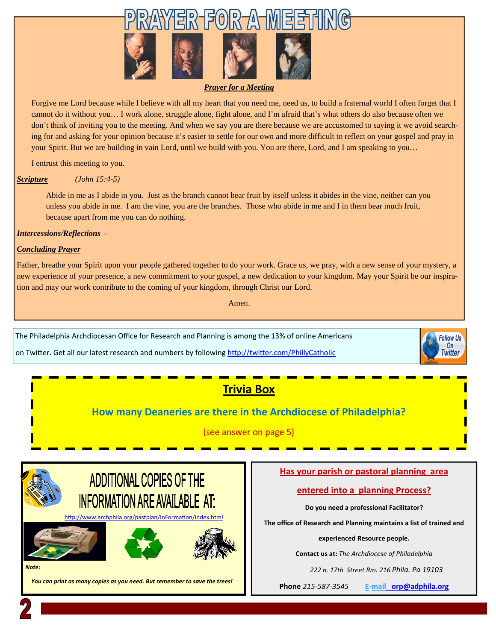

#### *Prayer for a Meeting*

Forgive me Lord because while I believe with all my heart that you need me, need us, to build a fraternal world I often forget that I cannot do it without you… I work alone, struggle alone, fight alone, and I'm afraid that's what others do also because often we don't think of inviting you to the meeting. And when we say you are there because we are accustomed to saying it we avoid searching for and asking for your opinion because it's easier to settle for our own and more difficult to reflect on your gospel and pray in your Spirit. But we are building in vain Lord, until we build with you. You are there, Lord, and I am speaking to you…

I entrust this meeting to you.

#### *Scripture (John 15:4-5)*

Abide in me as I abide in you. Just as the branch cannot bear fruit by itself unless it abides in the vine, neither can you unless you abide in me. I am the vine, you are the branches. Those who abide in me and I in them bear much fruit, because apart from me you can do nothing.

*Intercessions/Reflections* -

#### *Concluding Prayer*

Father, breathe your Spirit upon your people gathered together to do your work. Grace us, we pray, with a new sense of your mystery, a new experience of your presence, a new commitment to your gospel, a new dedication to your kingdom. May your Spirit be our inspiration and may our work contribute to the coming of your kingdom, through Christ our Lord.

Amen.

The Philadelphia Archdiocesan Office for Research and Planning is among the 13% of online Americans

on Twitter. Get all our latest research and numbers by following http://twitt[er.com/PhillyCatholic](https://twitter.com/PhillyCatholic)



#### **How many Deaneries are there in the Archdiocese of Philadelphia?**

#### (see answer on page 5)



#### **Has your parish or pastoral planning area**

#### **entered into a planning Process?**

**Do you need a professional Facilitator?** 

**The office of Research and Planning maintains a list of trained and** 

**experienced Resource people.** 

**Contact us at:** *The Archdiocese of Philadelphia* 

 *222 n. 17th Street Rm. 216 Phila. Pa 19103* 

**Phone** *215‐587‐3545* **E‐mai[l orp@adphila.org](mailto:orp@adphila.org?Subject=Facilitator information)**

**Follow Us** On **Witter**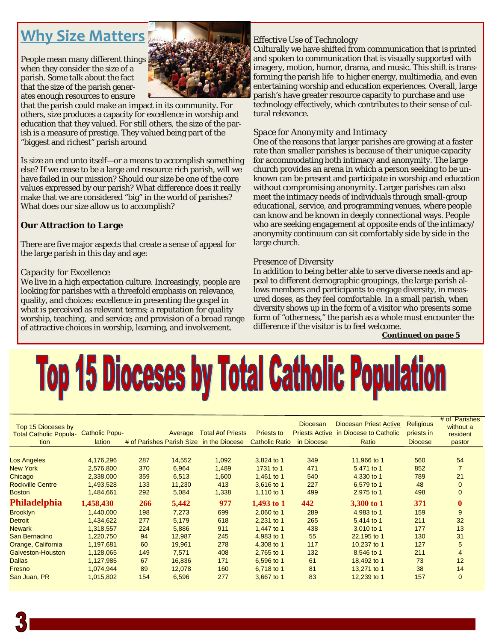## **Why Size Matters**

People mean many different things when they consider the size of a parish. Some talk about the fact that the size of the parish generates enough resources to ensure



that the parish could make an impact in its community. For others, size produces a capacity for excellence in worship and education that they valued. For still others, the size of the parish is a measure of prestige. They valued being part of the "biggest and richest" parish around

Is size an end unto itself—or a means to accomplish something else? If we cease to be a large and resource rich parish, will we have failed in our mission? Should our size be one of the core values expressed by our parish? What difference does it really make that we are considered "big" in the world of parishes? What does our size allow us to accomplish?

#### **Our Attraction to Large**

There are five major aspects that create a sense of appeal for the large parish in this day and age:

#### *Capacity for Excellence*

We live in a high expectation culture. Increasingly, people are looking for parishes with a threefold emphasis on relevance, quality, and choices: excellence in presenting the gospel in what is perceived as relevant terms; a reputation for quality worship, teaching, and service; and provision of a broad range of attractive choices in worship, learning, and involvement.

#### *Effective Use of Technology*

Culturally we have shifted from communication that is printed and spoken to communication that is visually supported with imagery, motion, humor, drama, and music. This shift is transforming the parish life to higher energy, multimedia, and even entertaining worship and education experiences. Overall, large parish's have greater resource capacity to purchase and use technology effectively, which contributes to their sense of cultural relevance.

#### *Space for Anonymity and Intimacy*

One of the reasons that larger parishes are growing at a faster rate than smaller parishes is because of their unique capacity for accommodating both intimacy and anonymity. The large church provides an arena in which a person seeking to be unknown can be present and participate in worship and education without compromising anonymity. Larger parishes can also meet the intimacy needs of individuals through small-group educational, service, and programming venues, where people can know and be known in deeply connectional ways. People who are seeking engagement at opposite ends of the intimacy/ anonymity continuum can sit comfortably side by side in the large church.

#### *Presence of Diversity*

In addition to being better able to serve diverse needs and appeal to different demographic groupings, the large parish allows members and participants to engage diversity, in measured doses, as they feel comfortable. In a small parish, when diversity shows up in the form of a visitor who presents some form of "otherness," the parish as a whole must encounter the difference if the visitor is to feel welcome.

*Continued on page 5* 

# **Top 15 Dioceses by Total Catholic Population**

| <b>Total #of Priests</b><br><b>Priests Active in Diocese to Catholic</b><br><b>Catholic Popu-</b><br><b>Priests to</b><br>Average<br>priests in<br><b>Total Catholic Popula-</b><br># of Parishes Parish Size in the Diocese<br><b>Catholic Ratio</b><br>in Diocese<br>tion<br>lation<br>Ratio<br><b>Diocese</b><br>4,176,296<br>3,824 to 1<br>349<br>11,966 to 1<br>Los Angeles<br>287<br>14,552<br>1,092<br>560<br><b>New York</b><br>370<br>1,489<br>1731 to 1<br>471<br>5.471 to 1<br>852<br>2,576,800<br>6,964<br>Chicago<br>1,461 to 1<br>540<br>2,338,000<br>359<br>6,513<br>1,600<br>4,330 to 1<br>789 | resident<br>pastor |
|----------------------------------------------------------------------------------------------------------------------------------------------------------------------------------------------------------------------------------------------------------------------------------------------------------------------------------------------------------------------------------------------------------------------------------------------------------------------------------------------------------------------------------------------------------------------------------------------------------------|--------------------|
|                                                                                                                                                                                                                                                                                                                                                                                                                                                                                                                                                                                                                |                    |
|                                                                                                                                                                                                                                                                                                                                                                                                                                                                                                                                                                                                                |                    |
|                                                                                                                                                                                                                                                                                                                                                                                                                                                                                                                                                                                                                |                    |
|                                                                                                                                                                                                                                                                                                                                                                                                                                                                                                                                                                                                                | 54                 |
|                                                                                                                                                                                                                                                                                                                                                                                                                                                                                                                                                                                                                |                    |
|                                                                                                                                                                                                                                                                                                                                                                                                                                                                                                                                                                                                                | 21                 |
| 227<br><b>Rockville Centre</b><br>133<br>413<br>3,616 to 1<br>6,579 to 1<br>48<br>1,493,528<br>11,230                                                                                                                                                                                                                                                                                                                                                                                                                                                                                                          | $\Omega$           |
| 292<br>1,338<br>1,110 to 1<br>499<br>498<br><b>Boston</b><br>1,484,661<br>5,084<br>2,975 to 1                                                                                                                                                                                                                                                                                                                                                                                                                                                                                                                  | $\Omega$           |
| Philadelphia<br>1,458,430<br>977<br>442<br>266<br>5,442<br>1,493 to $1$<br>3,300 to 1<br>371                                                                                                                                                                                                                                                                                                                                                                                                                                                                                                                   | $\bf{0}$           |
| <b>Brooklyn</b><br>198<br>699<br>289<br>4,983 to 1<br>1,440,000<br>7,273<br>2,060 to 1<br>159                                                                                                                                                                                                                                                                                                                                                                                                                                                                                                                  | 9                  |
| 265<br><b>Detroit</b><br>277<br>5,179<br>618<br>2,231 to 1<br>5,414 to 1<br>211<br>1,434,622                                                                                                                                                                                                                                                                                                                                                                                                                                                                                                                   | 32                 |
| 911<br>1.447 to 1<br>438<br>3.010 to 1<br><b>Newark</b><br>1,318,557<br>224<br>5,886<br>177                                                                                                                                                                                                                                                                                                                                                                                                                                                                                                                    | 13                 |
| 55<br>San Bernadino<br>94<br>245<br>130<br>1,220,750<br>12,987<br>4,983 to 1<br>22,195 to 1                                                                                                                                                                                                                                                                                                                                                                                                                                                                                                                    | 31                 |
| Orange, California<br>117<br>1,197,681<br>60<br>278<br>4,308 to 1<br>10,237 to 1<br>127<br>19,961                                                                                                                                                                                                                                                                                                                                                                                                                                                                                                              | 5                  |
| Galveston-Houston<br>132<br>211<br>149<br>7,571<br>408<br>8,546 to 1<br>1,128,065<br>2,765 to 1                                                                                                                                                                                                                                                                                                                                                                                                                                                                                                                | 4                  |
| <b>Dallas</b><br>67<br>171<br>73<br>1,127,985<br>16,836<br>6.596 to 1<br>61<br>18,492 to 1                                                                                                                                                                                                                                                                                                                                                                                                                                                                                                                     | 12                 |
| Fresno<br>89<br>81<br>38<br>1,074,944<br>12,078<br>160<br>13,271 to 1<br>6,718 to 1                                                                                                                                                                                                                                                                                                                                                                                                                                                                                                                            |                    |
| 277<br>83<br>12,239 to 1<br>157<br>San Juan, PR<br>1,015,802<br>154<br>6,596<br>3,667 to 1                                                                                                                                                                                                                                                                                                                                                                                                                                                                                                                     | 14                 |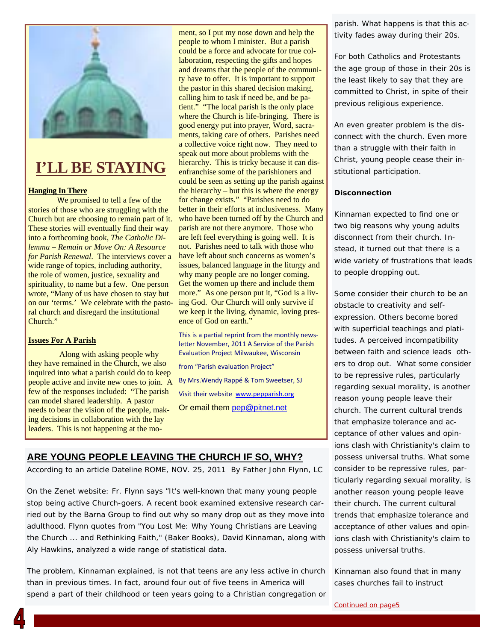

### **I'LL BE STAYING**

#### **Hanging In There**

We promised to tell a few of the stories of those who are struggling with the Church but are choosing to remain part of it. These stories will eventually find their way into a forthcoming book, *The Catholic Dilemma – Remain or Move On: A Resource for Parish Renewal*. The interviews cover a wide range of topics, including authority, the role of women, justice, sexuality and spirituality, to name but a few. One person wrote, "Many of us have chosen to stay but on our 'terms.' We celebrate with the pastoral church and disregard the institutional Church."

#### **Issues For A Parish**

 Along with asking people why they have remained in the Church, we also inquired into what a parish could do to keep people active and invite new ones to join. A few of the responses included: "The parish can model shared leadership. A pastor needs to bear the vision of the people, making decisions in collaboration with the lay leaders. This is not happening at the mo-

ment, so I put my nose down and help the people to whom I minister. But a parish could be a force and advocate for true collaboration, respecting the gifts and hopes and dreams that the people of the community have to offer. It is important to support the pastor in this shared decision making, calling him to task if need be, and be patient." "The local parish is the only place where the Church is life-bringing. There is good energy put into prayer, Word, sacraments, taking care of others. Parishes need a collective voice right now. They need to speak out more about problems with the hierarchy. This is tricky because it can disenfranchise some of the parishioners and could be seen as setting up the parish against the hierarchy – but this is where the energy for change exists." "Parishes need to do better in their efforts at inclusiveness. Many who have been turned off by the Church and parish are not there anymore. Those who are left feel everything is going well. It is not. Parishes need to talk with those who have left about such concerns as women's issues, balanced language in the liturgy and why many people are no longer coming. Get the women up there and include them more." As one person put it, "God is a living God. Our Church will only survive if we keep it the living, dynamic, loving presence of God on earth."

This is a partial reprint from the monthly newsletter November, 2011 A Service of the Parish EvaluaƟon Project Milwaukee, Wisconsin

from "Parish evaluation Project"

By Mrs.Wendy Rappé & Tom Sweetser, SJ Visit their website www.pepparish.org

Or email them pep@pitnet.net

#### **ARE YOUNG PEOPLE LEAVING THE CHURCH IF SO, WHY?**

According to an article Dateline ROME, NOV. 25, 2011 By Father John Flynn, LC

On the Zenet website: Fr. Flynn says "It's well-known that many young people stop being active Church-goers. A recent book examined extensive research carried out by the Barna Group to find out why so many drop out as they move into adulthood. Flynn quotes from "You Lost Me: Why Young Christians are Leaving the Church ... and Rethinking Faith," (Baker Books), David Kinnaman, along with Aly Hawkins, analyzed a wide range of statistical data.

The problem, Kinnaman explained, is not that teens are any less active in church than in previous times. In fact, around four out of five teens in America will spend a part of their childhood or teen years going to a Christian congregation or

parish. What happens is that this activity fades away during their 20s.

For both Catholics and Protestants the age group of those in their 20s is the least likely to say that they are committed to Christ, in spite of their previous religious experience.

An even greater problem is the disconnect with the church. Even more than a struggle with their faith in Christ, young people cease their institutional participation.

#### **Disconnection**

Kinnaman expected to find one or two big reasons why young adults disconnect from their church. Instead, it turned out that there is a wide variety of frustrations that leads to people dropping out.

Some consider their church to be an obstacle to creativity and selfexpression. Others become bored with superficial teachings and platitudes. A perceived incompatibility between faith and science leads others to drop out. What some consider to be repressive rules, particularly regarding sexual morality, is another reason young people leave their church. The current cultural trends that emphasize tolerance and acceptance of other values and opinions clash with Christianity's claim to possess universal truths. What some consider to be repressive rules, particularly regarding sexual morality, is another reason young people leave their church. The current cultural trends that emphasize tolerance and acceptance of other values and opinions clash with Christianity's claim to possess universal truths.

Kinnaman also found that in many cases churches fail to instruct

*Continued on page5*